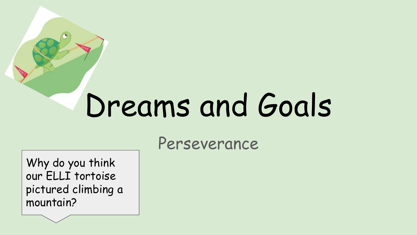# Dreams and Goals

Perseverance

Why do you think our ELLI tortoise pictured climbing a mountain?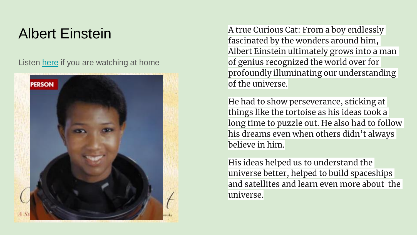### Albert Einstein

Listen [here](https://www.youtube.com/watch?v=Io6aSfV0Oks) if you are watching at home



A true Curious Cat: From a boy endlessly fascinated by the wonders around him, Albert Einstein ultimately grows into a man of genius recognized the world over for profoundly illuminating our understanding of the universe.

He had to show perseverance, sticking at things like the tortoise as his ideas took a long time to puzzle out. He also had to follow his dreams even when others didn't always believe in him.

His ideas helped us to understand the universe better, helped to build spaceships and satellites and learn even more about the universe.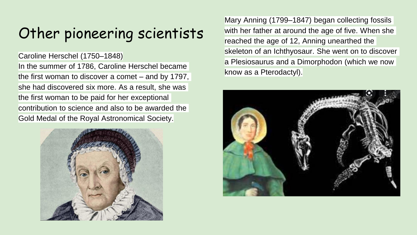# Other pioneering scientists

#### Caroline Herschel (1750–1848)

In the summer of 1786, Caroline Herschel became the first woman to discover a comet – and by 1797, she had discovered six more. As a result, she was the first woman to be paid for her exceptional contribution to science and also to be awarded the Gold Medal of the Royal Astronomical Society.



Mary Anning (1799–1847) began collecting fossils with her father at around the age of five. When she reached the age of 12, Anning unearthed the skeleton of an Ichthyosaur. She went on to discover a Plesiosaurus and a Dimorphodon (which we now know as a Pterodactyl).

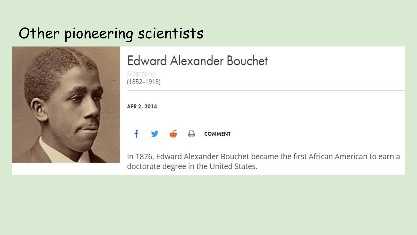## Other pioneering scientists



### **Edward Alexander Bouchet**

Biography  $(1852 - 1918)$ 

APR 2, 2014



In 1876, Edward Alexander Bouchet became the first African American to earn a doctorate degree in the United States.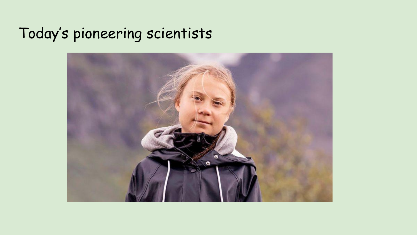# Today's pioneering scientists